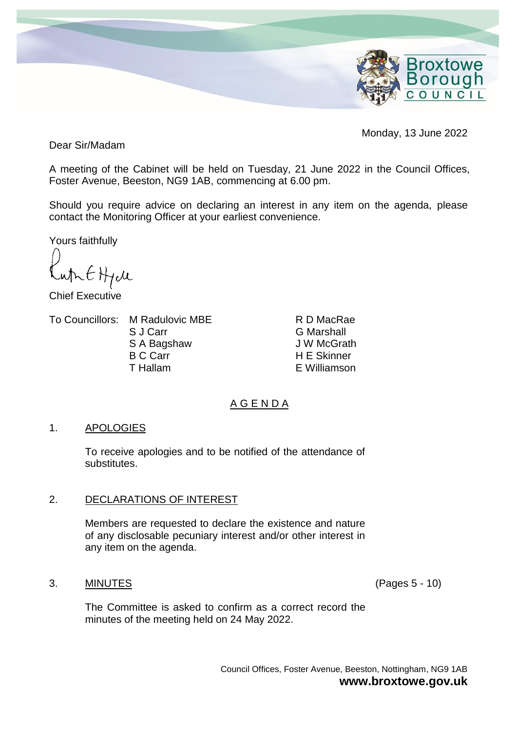

Monday, 13 June 2022

Dear Sir/Madam

A meeting of the Cabinet will be held on Tuesday, 21 June 2022 in the Council Offices, Foster Avenue, Beeston, NG9 1AB, commencing at 6.00 pm.

Should you require advice on declaring an interest in any item on the agenda, please contact the Monitoring Officer at your earliest convenience.

Yours faithfully

which  $H_1$ cle

Chief Executive

To Councillors: M Radulovic MBE

S J Carr S A Bagshaw B C Carr T Hallam

R D MacRae G Marshall J W McGrath H E Skinner E Williamson

# A G E N D A

# 1. APOLOGIES

To receive apologies and to be notified of the attendance of substitutes.

# 2. DECLARATIONS OF INTEREST

Members are requested to declare the existence and nature of any disclosable pecuniary interest and/or other interest in any item on the agenda.

# 3. MINUTES (Pages 5 - 10)

The Committee is asked to confirm as a correct record the minutes of the meeting held on 24 May 2022.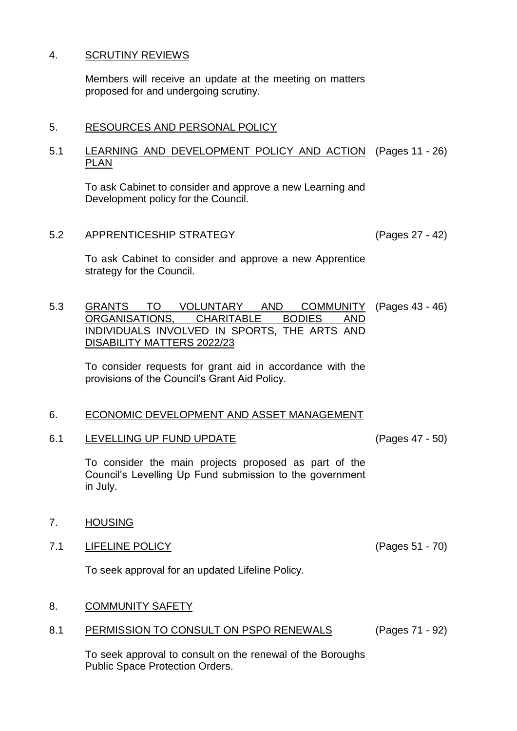# 4. SCRUTINY REVIEWS

Members will receive an update at the meeting on matters proposed for and undergoing scrutiny.

#### 5. RESOURCES AND PERSONAL POLICY

#### 5.1 LEARNING AND DEVELOPMENT POLICY AND ACTION (Pages 11 - 26) PLAN

To ask Cabinet to consider and approve a new Learning and Development policy for the Council.

# 5.2 APPRENTICESHIP STRATEGY (Pages 27 - 42)

To ask Cabinet to consider and approve a new Apprentice strategy for the Council.

5.3 GRANTS TO VOLUNTARY AND COMMUNITY (Pages 43 - 46) ORGANISATIONS, CHARITABLE BODIES AND INDIVIDUALS INVOLVED IN SPORTS, THE ARTS AND DISABILITY MATTERS 2022/23

To consider requests for grant aid in accordance with the provisions of the Council's Grant Aid Policy.

# 6. ECONOMIC DEVELOPMENT AND ASSET MANAGEMENT

6.1 LEVELLING UP FUND UPDATE (Pages 47 - 50)

To consider the main projects proposed as part of the Council's Levelling Up Fund submission to the government in July.

# 7. HOUSING

7.1 LIFELINE POLICY (Pages 51 - 70)

To seek approval for an updated Lifeline Policy.

# 8. COMMUNITY SAFETY

8.1 PERMISSION TO CONSULT ON PSPO RENEWALS (Pages 71 - 92)

To seek approval to consult on the renewal of the Boroughs Public Space Protection Orders.